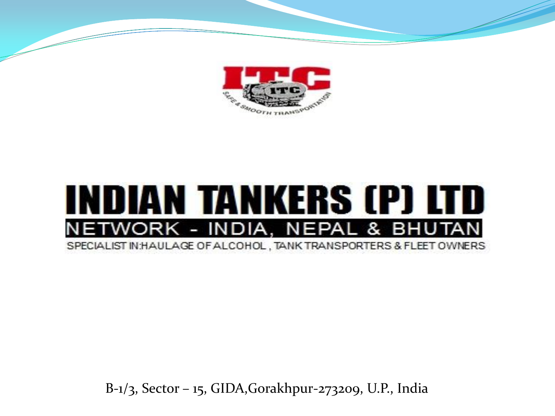

#### INDIAN TANKERS (P) LTD ETWORK - INDIA, NEPAL & BHUTAN SPECIALIST IN: HAULAGE OF ALCOHOL, TANK TRANSPORTERS & FLEET OWNERS

B-1/3, Sector – 15, GIDA,Gorakhpur-273209, U.P., India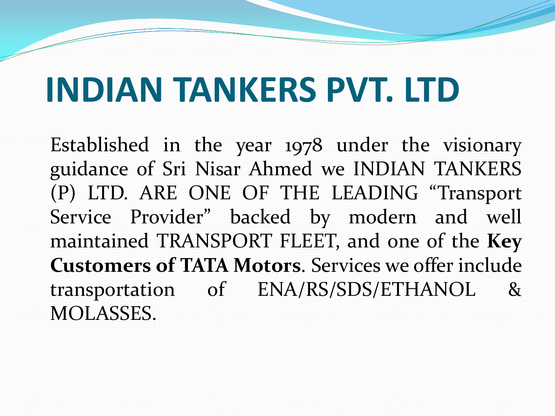### **INDIAN TANKERS PVT. LTD**

Established in the year 1978 under the visionary guidance of Sri Nisar Ahmed we INDIAN TANKERS (P) LTD. ARE ONE OF THE LEADING "Transport Service Provider" backed by modern and well maintained TRANSPORT FLEET, and one of the **Key Customers of TATA Motors**. Services we offer include transportation of ENA/RS/SDS/ETHANOL & MOLASSES.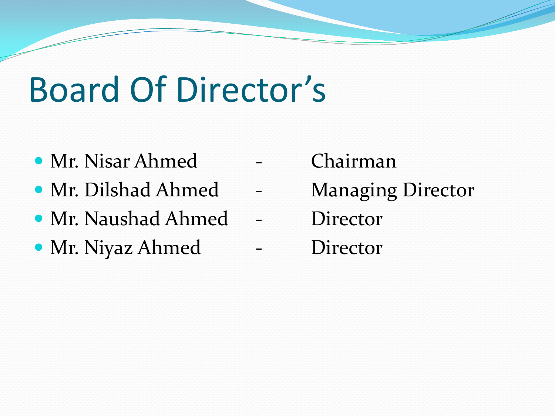# Board Of Director's

- Mr. Nisar Ahmed Chairman
- Mr. Dilshad Ahmed Managing Director
- Mr. Naushad Ahmed Director
- Mr. Niyaz Ahmed Director
- -
	-
-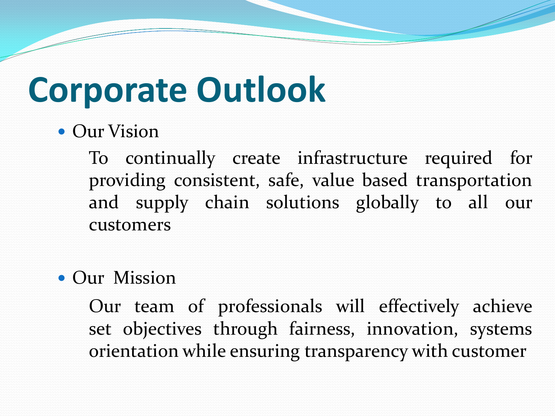### **Corporate Outlook**

#### **• Our Vision**

To continually create infrastructure required for providing consistent, safe, value based transportation and supply chain solutions globally to all our customers

#### • Our Mission

Our team of professionals will effectively achieve set objectives through fairness, innovation, systems orientation while ensuring transparency with customer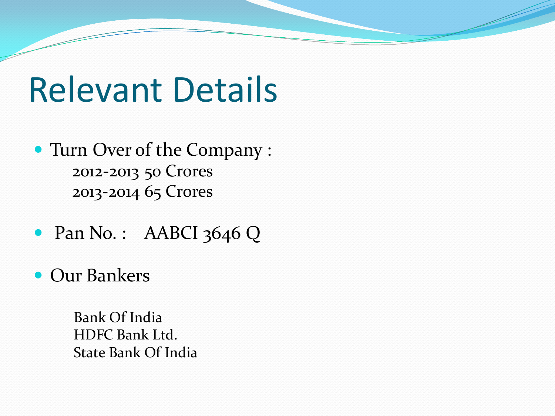#### Relevant Details

- Turn Over of the Company : 2012-2013 50 Crores 2013-2014 65 Crores
- Pan No.: AABCI 3646 Q
- Our Bankers

Bank Of India HDFC Bank Ltd. State Bank Of India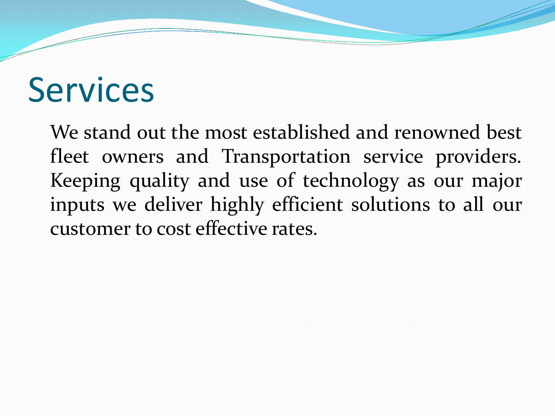#### **Services**

We stand out the most established and renowned best fleet owners and Transportation service providers. Keeping quality and use of technology as our major inputs we deliver highly efficient solutions to all our customer to cost effective rates.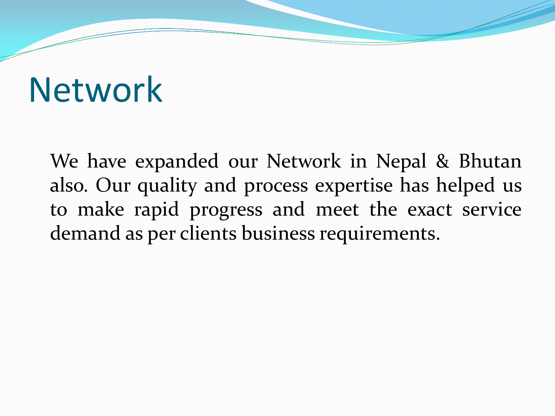#### Network

We have expanded our Network in Nepal & Bhutan also. Our quality and process expertise has helped us to make rapid progress and meet the exact service demand as per clients business requirements.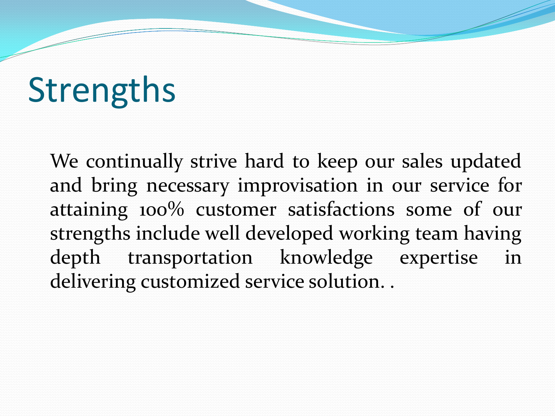# **Strengths**

We continually strive hard to keep our sales updated and bring necessary improvisation in our service for attaining 100% customer satisfactions some of our strengths include well developed working team having depth transportation knowledge expertise in delivering customized service solution. .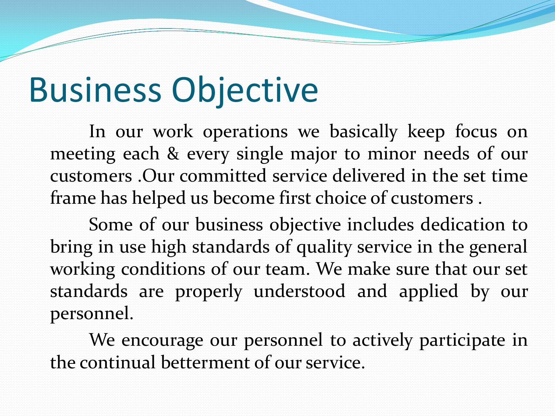# Business Objective

In our work operations we basically keep focus on meeting each & every single major to minor needs of our customers .Our committed service delivered in the set time frame has helped us become first choice of customers .

Some of our business objective includes dedication to bring in use high standards of quality service in the general working conditions of our team. We make sure that our set standards are properly understood and applied by our personnel.

We encourage our personnel to actively participate in the continual betterment of our service.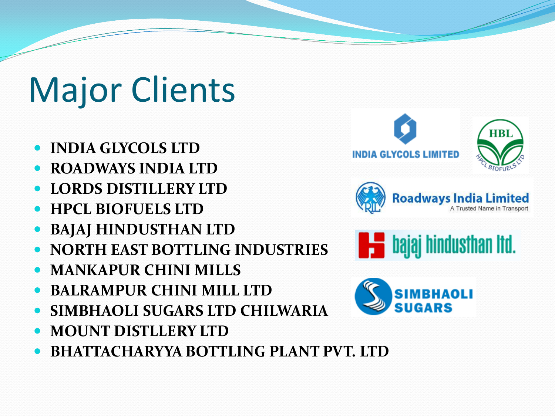# Major Clients

- **INDIA GLYCOLS LTD**
- **ROADWAYS INDIA LTD**
- **LORDS DISTILLERY LTD**
- **HPCL BIOFUELS LTD**
- **BAJAJ HINDUSTHAN LTD**
- **NORTH EAST BOTTLING INDUSTRIES**
- **MANKAPUR CHINI MILLS**
- **BALRAMPUR CHINI MILL LTD**
- **SIMBHAOLI SUGARS LTD CHILWARIA**
- **MOUNT DISTLLERY LTD**
- **BHATTACHARYYA BOTTLING PLANT PVT. LTD**







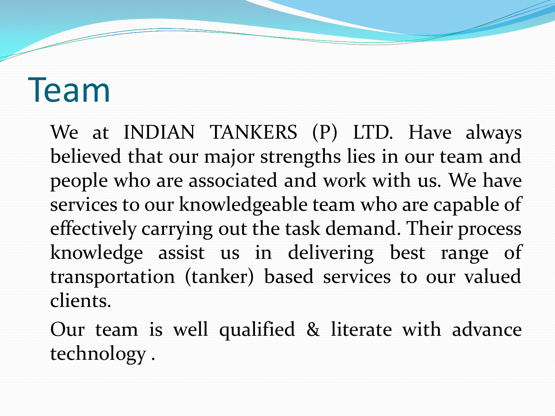#### Team

We at INDIAN TANKERS (P) LTD. Have always believed that our major strengths lies in our team and people who are associated and work with us. We have services to our knowledgeable team who are capable of effectively carrying out the task demand. Their process knowledge assist us in delivering best range of transportation (tanker) based services to our valued clients.

Our team is well qualified & literate with advance technology .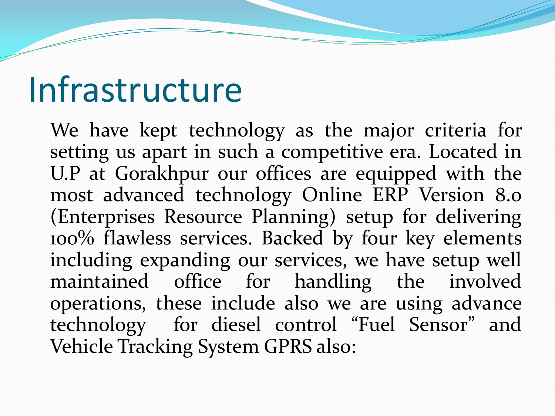#### Infrastructure

We have kept technology as the major criteria for setting us apart in such a competitive era. Located in U.P at Gorakhpur our offices are equipped with the most advanced technology Online ERP Version 8.0 (Enterprises Resource Planning) setup for delivering 100% flawless services. Backed by four key elements including expanding our services, we have setup well maintained office for handling the involved operations, these include also we are using advance technology for diesel control "Fuel Sensor" and Vehicle Tracking System GPRS also: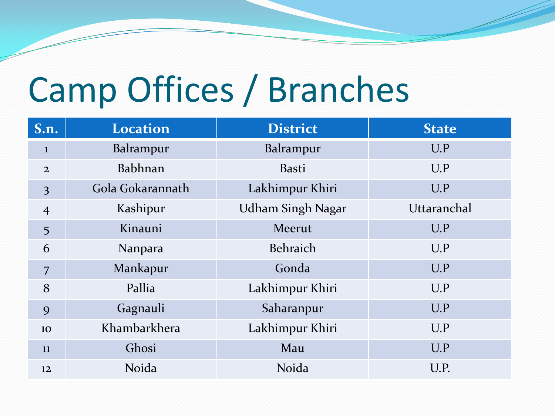# Camp Offices / Branches

| S.n.           | <b>Location</b>  | <b>District</b>          | <b>State</b> |
|----------------|------------------|--------------------------|--------------|
| $\mathbf{1}$   | Balrampur        | Balrampur                | U.P          |
| $\overline{2}$ | Babhnan          | <b>Basti</b>             | U.P          |
| $\overline{3}$ | Gola Gokarannath | Lakhimpur Khiri          | U.P          |
| $\overline{4}$ | Kashipur         | <b>Udham Singh Nagar</b> | Uttaranchal  |
| 5              | Kinauni          | Meerut                   | U.P          |
| 6              | Nanpara          | Behraich                 | U.P          |
| 7              | Mankapur         | Gonda                    | U.P          |
| 8              | Pallia           | Lakhimpur Khiri          | U.P          |
| 9              | Gagnauli         | Saharanpur               | U.P          |
| 10             | Khambarkhera     | Lakhimpur Khiri          | U.P          |
| 11             | Ghosi            | Mau                      | U.P          |
| 12             | Noida            | Noida                    | U.P.         |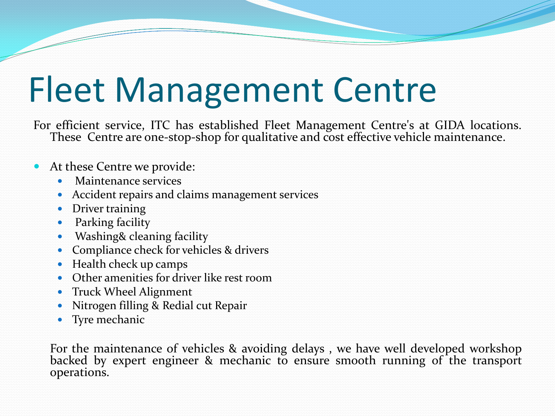# Fleet Management Centre

For efficient service, ITC has established Fleet Management Centre's at GIDA locations. These Centre are one-stop-shop for qualitative and cost effective vehicle maintenance.

- At these Centre we provide:
	- Maintenance services
	- Accident repairs and claims management services
	- Driver training
	- Parking facility
	- Washing& cleaning facility
	- Compliance check for vehicles & drivers
	- Health check up camps
	- Other amenities for driver like rest room
	- Truck Wheel Alignment
	- Nitrogen filling & Redial cut Repair
	- Tyre mechanic

For the maintenance of vehicles & avoiding delays , we have well developed workshop backed by expert engineer & mechanic to ensure smooth running of the transport operations.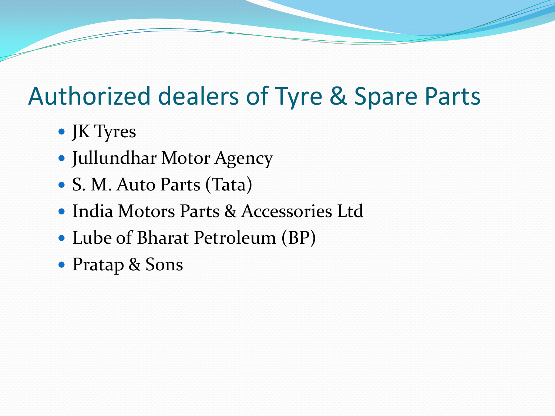#### Authorized dealers of Tyre & Spare Parts

- JK Tyres
- Jullundhar Motor Agency
- S. M. Auto Parts (Tata)
- India Motors Parts & Accessories Ltd
- Lube of Bharat Petroleum (BP)
- Pratap & Sons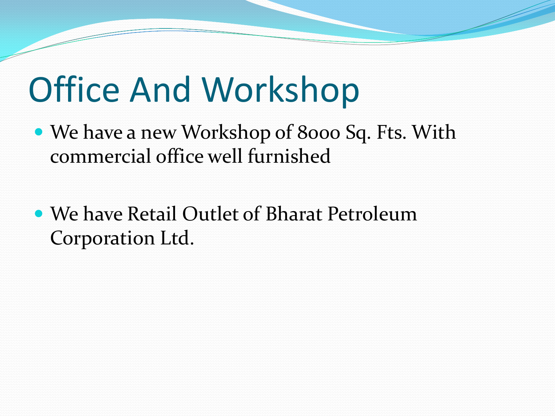# Office And Workshop

- We have a new Workshop of 8000 Sq. Fts. With commercial office well furnished
- We have Retail Outlet of Bharat Petroleum Corporation Ltd.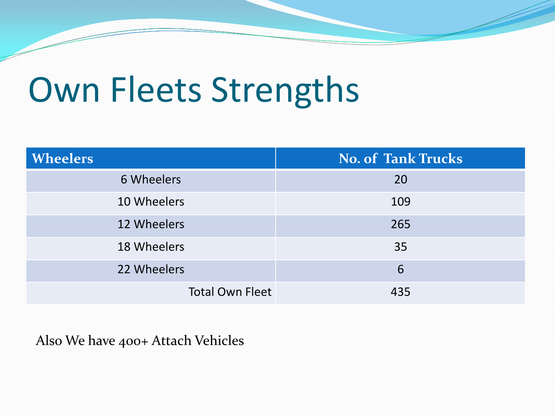### Own Fleets Strengths

| <b>Wheelers</b>        | <b>No. of Tank Trucks</b> |  |
|------------------------|---------------------------|--|
| 6 Wheelers             | 20                        |  |
| 10 Wheelers            | 109                       |  |
| 12 Wheelers            | 265                       |  |
| 18 Wheelers            | 35                        |  |
| 22 Wheelers            | 6                         |  |
| <b>Total Own Fleet</b> | 435                       |  |

Also We have 400+ Attach Vehicles